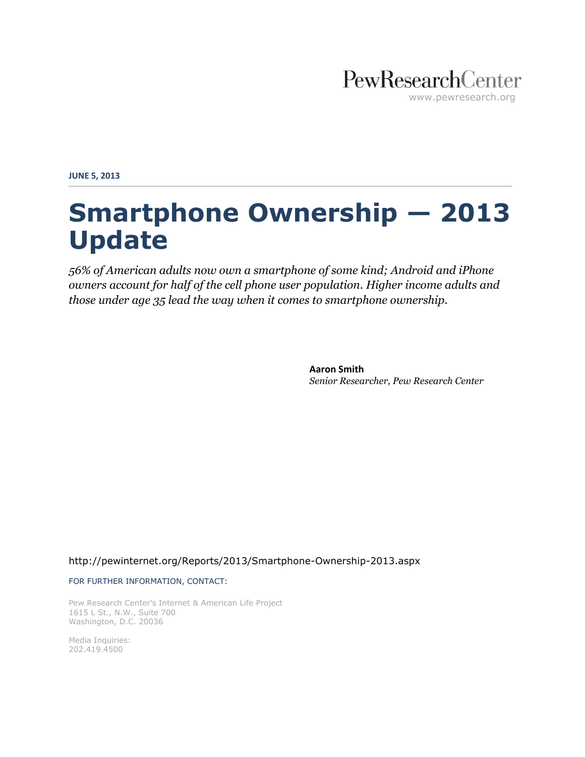

**JUNE 5, 2013**

# **Smartphone Ownership — 2013 Update**

*56% of American adults now own a smartphone of some kind; Android and iPhone owners account for half of the cell phone user population. Higher income adults and those under age 35 lead the way when it comes to smartphone ownership.*

> **Aaron Smith** *Senior Researcher, Pew Research Center*

<http://pewinternet.org/Reports/2013/Smartphone-Ownership-2013.aspx>

FOR FURTHER INFORMATION, CONTACT:

Pew Research Center's Internet & American Life Project 1615 L St., N.W., Suite 700 Washington, D.C. 20036

Media Inquiries: 202.419.4500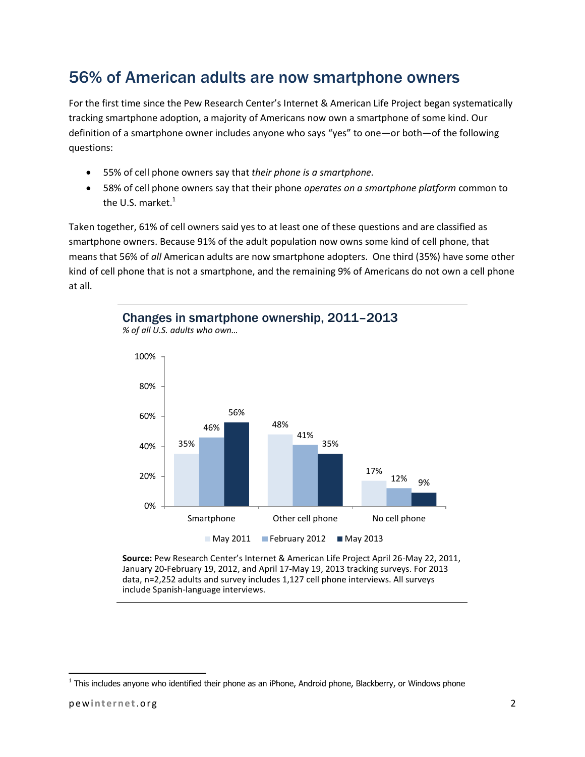# 56% of American adults are now smartphone owners

For the first time since the Pew Research Center's Internet & American Life Project began systematically tracking smartphone adoption, a majority of Americans now own a smartphone of some kind. Our definition of a smartphone owner includes anyone who says "yes" to one—or both—of the following questions:

- 55% of cell phone owners say that *their phone is a smartphone.*
- 58% of cell phone owners say that their phone *operates on a smartphone platform* common to the U.S. market. $<sup>1</sup>$ </sup>

Taken together, 61% of cell owners said yes to at least one of these questions and are classified as smartphone owners. Because 91% of the adult population now owns some kind of cell phone, that means that 56% of *all* American adults are now smartphone adopters. One third (35%) have some other kind of cell phone that is not a smartphone, and the remaining 9% of Americans do not own a cell phone at all.

Changes in smartphone ownership, 2011–2013



*% of all U.S. adults who own…*

**Source:** Pew Research Center's Internet & American Life Project April 26-May 22, 2011, January 20-February 19, 2012, and April 17-May 19, 2013 tracking surveys. For 2013 data, n=2,252 adults and survey includes 1,127 cell phone interviews. All surveys include Spanish-language interviews.

 $\overline{a}$ 

<sup>&</sup>lt;sup>1</sup> This includes anyone who identified their phone as an iPhone, Android phone, Blackberry, or Windows phone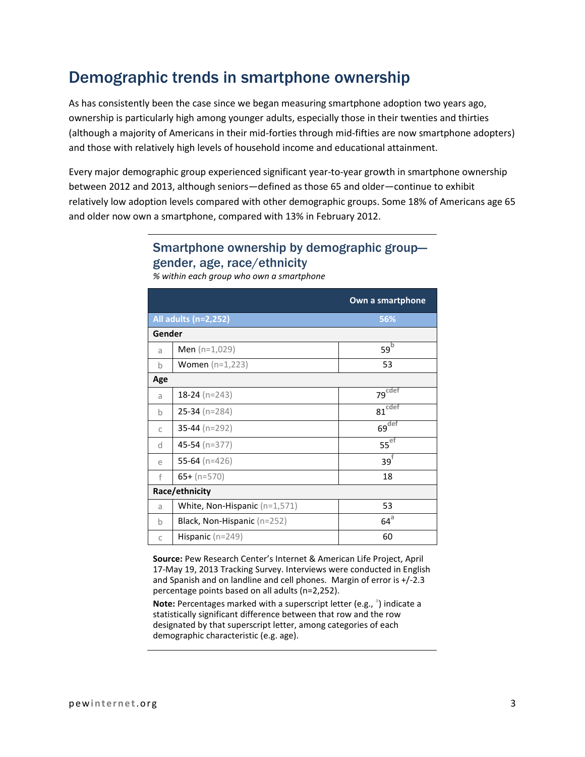## Demographic trends in smartphone ownership

As has consistently been the case since we began measuring smartphone adoption two years ago, ownership is particularly high among younger adults, especially those in their twenties and thirties (although a majority of Americans in their mid-forties through mid-fifties are now smartphone adopters) and those with relatively high levels of household income and educational attainment.

Every major demographic group experienced significant year-to-year growth in smartphone ownership between 2012 and 2013, although seniors—defined as those 65 and older—continue to exhibit relatively low adoption levels compared with other demographic groups. Some 18% of Americans age 65 and older now own a smartphone, compared with 13% in February 2012.

## Smartphone ownership by demographic group gender, age, race/ethnicity

|                |                                 | Own a smartphone     |  |  |  |
|----------------|---------------------------------|----------------------|--|--|--|
|                | All adults (n=2,252)            | 56%                  |  |  |  |
| Gender         |                                 |                      |  |  |  |
| a              | <b>Men</b> $(n=1,029)$          | 59 <sup>b</sup>      |  |  |  |
| $\mathsf b$    | <b>Women</b> $(n=1,223)$        | 53                   |  |  |  |
| Age            |                                 |                      |  |  |  |
| a              | 18-24 ( $n=243$ )               | 79 <sup>cdef</sup>   |  |  |  |
| b              | $25-34$ (n=284)                 | $81$ <sup>cdef</sup> |  |  |  |
| C              | 35-44 ( $n=292$ )               | $69$ <sup>def</sup>  |  |  |  |
| d              | 45-54 ( $n=377$ )               | $55^{ef}$            |  |  |  |
| e              | 55-64 ( $n=426$ )               | $39^{\dagger}$       |  |  |  |
| f              | $65+ (n=570)$                   | 18                   |  |  |  |
| Race/ethnicity |                                 |                      |  |  |  |
| a              | White, Non-Hispanic $(n=1,571)$ | 53                   |  |  |  |
| b              | Black, Non-Hispanic $(n=252)$   | $64^\text{a}$        |  |  |  |
| C              | Hispanic $(n=249)$              | 60                   |  |  |  |

*% within each group who own a smartphone*

**Source:** Pew Research Center's Internet & American Life Project, April 17-May 19, 2013 Tracking Survey. Interviews were conducted in English and Spanish and on landline and cell phones. Margin of error is +/-2.3 percentage points based on all adults (n=2,252).

**Note:** Percentages marked with a superscript letter (e.g., <sup>a</sup>) indicate a statistically significant difference between that row and the row designated by that superscript letter, among categories of each demographic characteristic (e.g. age).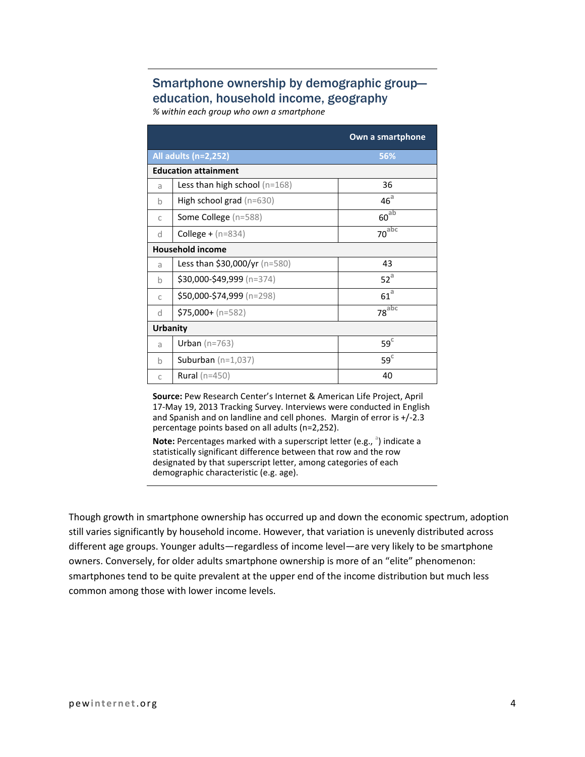## Smartphone ownership by demographic group education, household income, geography

*% within each group who own a smartphone*

|                         |                                      | Own a smartphone      |  |  |  |
|-------------------------|--------------------------------------|-----------------------|--|--|--|
|                         | All adults (n=2,252)                 | 56%                   |  |  |  |
|                         | <b>Education attainment</b>          |                       |  |  |  |
| a                       | Less than high school $(n=168)$      | 36                    |  |  |  |
| b                       | <b>High school grad</b> $(n=630)$    | 46 <sup>a</sup>       |  |  |  |
| $\mathsf{C}$            | <b>Some College</b> (n=588)          | $60^{ab}$             |  |  |  |
| d                       | <b>College +</b> $(n=834)$           | $70^{\overline{abc}}$ |  |  |  |
| <b>Household income</b> |                                      |                       |  |  |  |
| a                       | <b>Less than \$30,000/yr</b> (n=580) | 43                    |  |  |  |
| h                       | \$30,000-\$49,999 (n=374)            | $52^a$                |  |  |  |
| C                       | \$50,000-\$74,999 (n=298)            | 61 <sup>a</sup>       |  |  |  |
| d                       | $$75,000 + (n=582)$                  | 78 <sup>abc</sup>     |  |  |  |
| <b>Urbanity</b>         |                                      |                       |  |  |  |
| a                       | Urban $(n=763)$                      | $59^\circ$            |  |  |  |
| h                       | Suburban $(n=1,037)$                 | $59^\circ$            |  |  |  |
| C                       | <b>Rural</b> ( $n=450$ )             | 40                    |  |  |  |

**Source:** Pew Research Center's Internet & American Life Project, April 17-May 19, 2013 Tracking Survey. Interviews were conducted in English and Spanish and on landline and cell phones. Margin of error is +/-2.3 percentage points based on all adults (n=2,252).

Note: Percentages marked with a superscript letter (e.g., <sup>a</sup>) indicate a statistically significant difference between that row and the row designated by that superscript letter, among categories of each demographic characteristic (e.g. age).

Though growth in smartphone ownership has occurred up and down the economic spectrum, adoption still varies significantly by household income. However, that variation is unevenly distributed across different age groups. Younger adults—regardless of income level—are very likely to be smartphone owners. Conversely, for older adults smartphone ownership is more of an "elite" phenomenon: smartphones tend to be quite prevalent at the upper end of the income distribution but much less common among those with lower income levels.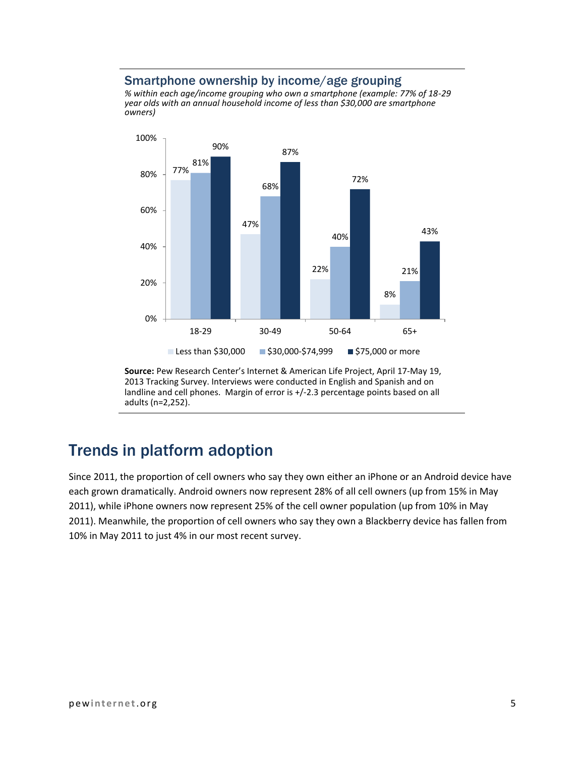#### Smartphone ownership by income/age grouping

*% within each age/income grouping who own a smartphone (example: 77% of 18-29 year olds with an annual household income of less than \$30,000 are smartphone owners)*



**Source:** Pew Research Center's Internet & American Life Project, April 17-May 19, 2013 Tracking Survey. Interviews were conducted in English and Spanish and on landline and cell phones. Margin of error is +/-2.3 percentage points based on all adults (n=2,252).

# Trends in platform adoption

Since 2011, the proportion of cell owners who say they own either an iPhone or an Android device have each grown dramatically. Android owners now represent 28% of all cell owners (up from 15% in May 2011), while iPhone owners now represent 25% of the cell owner population (up from 10% in May 2011). Meanwhile, the proportion of cell owners who say they own a Blackberry device has fallen from 10% in May 2011 to just 4% in our most recent survey.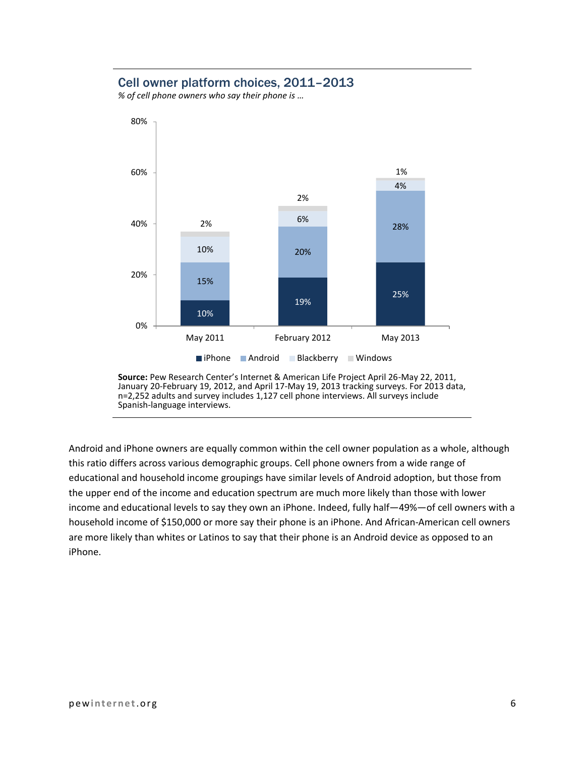### Cell owner platform choices, 2011–2013

*% of cell phone owners who say their phone is …*



**Source:** Pew Research Center's Internet & American Life Project April 26-May 22, 2011, January 20-February 19, 2012, and April 17-May 19, 2013 tracking surveys. For 2013 data, n=2,252 adults and survey includes 1,127 cell phone interviews. All surveys include Spanish-language interviews.

Android and iPhone owners are equally common within the cell owner population as a whole, although this ratio differs across various demographic groups. Cell phone owners from a wide range of educational and household income groupings have similar levels of Android adoption, but those from the upper end of the income and education spectrum are much more likely than those with lower income and educational levels to say they own an iPhone. Indeed, fully half—49%—of cell owners with a household income of \$150,000 or more say their phone is an iPhone. And African-American cell owners are more likely than whites or Latinos to say that their phone is an Android device as opposed to an iPhone.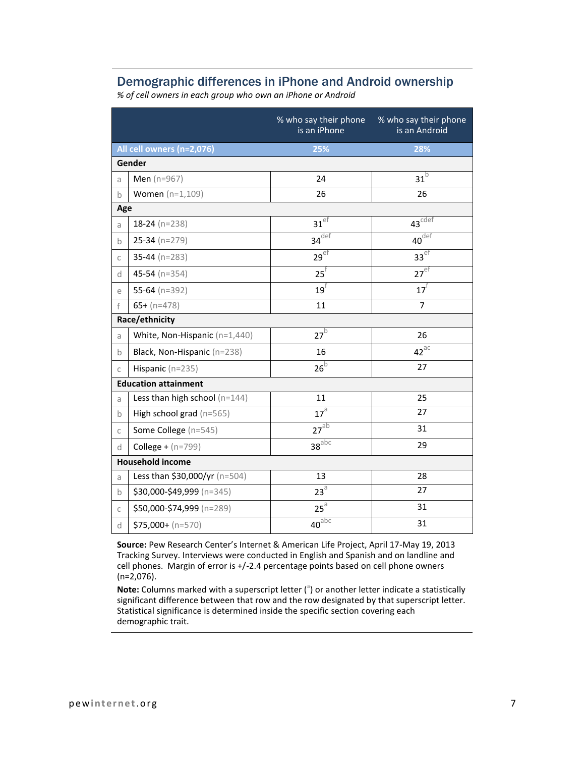#### Demographic differences in iPhone and Android ownership

*% of cell owners in each group who own an iPhone or Android*

|                         |                                 | is an iPhone                                  | % who say their phone % who say their phone<br>is an Android |  |
|-------------------------|---------------------------------|-----------------------------------------------|--------------------------------------------------------------|--|
|                         | All cell owners (n=2,076)       | 25%                                           | 28%                                                          |  |
|                         | Gender                          |                                               |                                                              |  |
| a                       | Men (n=967)                     | 24                                            | $31^{\mathrm{b}}$                                            |  |
| $\mathsf b$             | <b>Women</b> $(n=1,109)$        | 26                                            | 26                                                           |  |
| Age                     |                                 |                                               |                                                              |  |
| a                       | $18-24$ (n=238)                 | $31$ <sup>ef</sup>                            | $43^{\overline{cdef}}$                                       |  |
| $\mathbf b$             | $25-34$ (n=279)                 | $34^{\overline{def}}$                         | $40^{\sqrt{det}}$                                            |  |
| $\mathsf C$             | $35-44$ (n=283)                 | $29$ <sup>ef</sup>                            | $33$ <sup>ef</sup>                                           |  |
| d                       | 45-54 ( $n=354$ )               | $25^{\dagger}$                                | $27$ <sup>ef</sup>                                           |  |
| e                       | 55-64 ( $n=392$ )               | $19^{\dagger}$                                | $17^{\circ}$                                                 |  |
| f                       | $65 + (n=478)$                  | 11                                            | $\overline{7}$                                               |  |
|                         | Race/ethnicity                  |                                               |                                                              |  |
| a                       | White, Non-Hispanic (n=1,440)   | $27^{b}$                                      | 26                                                           |  |
| $\mathbf b$             | Black, Non-Hispanic (n=238)     | 16                                            | $42^{\text{ac}}$                                             |  |
| $\mathsf{C}$            | Hispanic (n=235)                | $26^{\rm b}$                                  | 27                                                           |  |
|                         | <b>Education attainment</b>     |                                               |                                                              |  |
| a                       | Less than high school $(n=144)$ | 11                                            | 25                                                           |  |
| $\mathsf b$             | High school grad (n=565)        | 17 <sup>3</sup>                               | 27                                                           |  |
| $\mathsf C$             | Some College (n=545)            | $27^{ab}$                                     | 31                                                           |  |
| d                       | <b>College +</b> $(n=799)$      | $38^{\overline{a} \overline{b} \overline{c}}$ | 29                                                           |  |
| <b>Household income</b> |                                 |                                               |                                                              |  |
| a                       | Less than \$30,000/yr (n=504)   | 13                                            | 28                                                           |  |
| $\mathsf b$             | \$30,000-\$49,999 (n=345)       | $23^{\text{a}}$                               | 27                                                           |  |
| $\mathsf{C}$            | \$50,000-\$74,999 (n=289)       | $25^{\text{a}}$                               | 31                                                           |  |
| d                       | $$75,000 + (n=570)$             | $40^{\overline{abc}}$                         | 31                                                           |  |

**Source:** Pew Research Center's Internet & American Life Project, April 17-May 19, 2013 Tracking Survey. Interviews were conducted in English and Spanish and on landline and cell phones. Margin of error is +/-2.4 percentage points based on cell phone owners (n=2,076).

Note: Columns marked with a superscript letter (<sup>a</sup>) or another letter indicate a statistically significant difference between that row and the row designated by that superscript letter. Statistical significance is determined inside the specific section covering each demographic trait.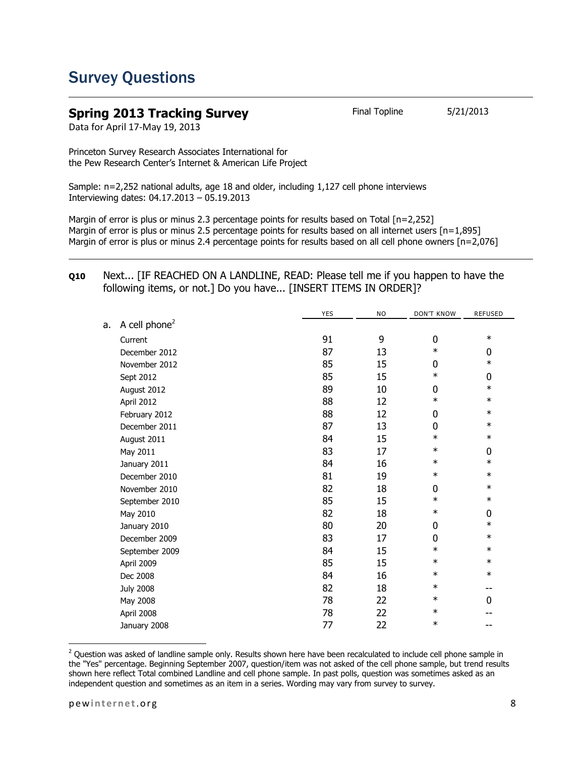## Survey Questions

#### **Spring 2013 Tracking Survey** Final Topline 5/21/2013 Data for April 17-May 19, 2013

Princeton Survey Research Associates International for the Pew Research Center's Internet & American Life Project

Sample: n=2,252 national adults, age 18 and older, including 1,127 cell phone interviews Interviewing dates: 04.17.2013 – 05.19.2013

Margin of error is plus or minus 2.3 percentage points for results based on Total [n=2,252] Margin of error is plus or minus 2.5 percentage points for results based on all internet users [n=1,895] Margin of error is plus or minus 2.4 percentage points for results based on all cell phone owners [n=2,076]

#### **Q10** Next... [IF REACHED ON A LANDLINE, READ: Please tell me if you happen to have the following items, or not.] Do you have... [INSERT ITEMS IN ORDER]?

|    |                           | <b>YES</b> | <b>NO</b> | <b>DON'T KNOW</b> | <b>REFUSED</b> |
|----|---------------------------|------------|-----------|-------------------|----------------|
| a. | A cell phone <sup>2</sup> |            |           |                   |                |
|    | Current                   | 91         | 9         | $\mathbf 0$       | $\ast$         |
|    | December 2012             | 87         | 13        | $\ast$            | 0              |
|    | November 2012             | 85         | 15        | 0                 | $\ast$         |
|    | Sept 2012                 | 85         | 15        | $\ast$            | 0              |
|    | August 2012               | 89         | 10        | 0                 | $\ast$         |
|    | April 2012                | 88         | 12        | $\ast$            | $\ast$         |
|    | February 2012             | 88         | 12        | 0                 | $\ast$         |
|    | December 2011             | 87         | 13        | 0                 | $\ast$         |
|    | August 2011               | 84         | 15        | $\ast$            | $\ast$         |
|    | May 2011                  | 83         | 17        | $\ast$            | 0              |
|    | January 2011              | 84         | 16        | $\ast$            | $\ast$         |
|    | December 2010             | 81         | 19        | $\ast$            | $\ast$         |
|    | November 2010             | 82         | 18        | 0                 | $\ast$         |
|    | September 2010            | 85         | 15        | $\ast$            | $\ast$         |
|    | May 2010                  | 82         | 18        | $\ast$            | 0              |
|    | January 2010              | 80         | 20        | 0                 | $\ast$         |
|    | December 2009             | 83         | 17        | 0                 | $\ast$         |
|    | September 2009            | 84         | 15        | $\ast$            | $\ast$         |
|    | April 2009                | 85         | 15        | $\ast$            | $\ast$         |
|    | Dec 2008                  | 84         | 16        | $\ast$            | $\ast$         |
|    | <b>July 2008</b>          | 82         | 18        | $\ast$            | --             |
|    | May 2008                  | 78         | 22        | $\ast$            | 0              |
|    | April 2008                | 78         | 22        | $\ast$            |                |
|    | January 2008              | 77         | 22        | $\ast$            |                |
|    |                           |            |           |                   |                |

 $^2$  Question was asked of landline sample only. Results shown here have been recalculated to include cell phone sample in the "Yes" percentage. Beginning September 2007, question/item was not asked of the cell phone sample, but trend results shown here reflect Total combined Landline and cell phone sample. In past polls, question was sometimes asked as an independent question and sometimes as an item in a series. Wording may vary from survey to survey.

 $\overline{\phantom{a}}$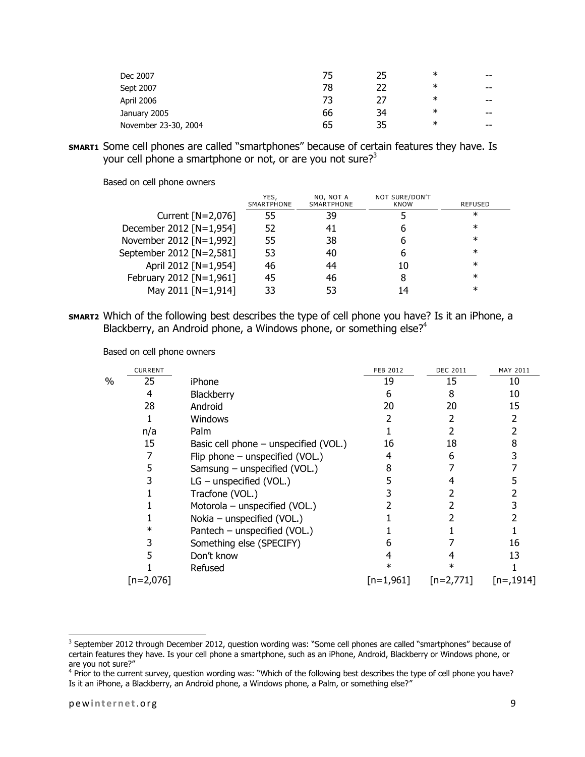| Dec 2007             | 75 | 25 | ∗      | $- -$ |
|----------------------|----|----|--------|-------|
| Sept 2007            | 78 | 22 | $\ast$ | $- -$ |
| April 2006           | 73 | 77 | $\ast$ | $- -$ |
| January 2005         | 66 | 34 | $\ast$ | $- -$ |
| November 23-30, 2004 | 65 | 35 | $\ast$ | $- -$ |

**SMART1** Some cell phones are called "smartphones" because of certain features they have. Is your cell phone a smartphone or not, or are you not sure?<sup>3</sup>

|                          | YES.<br>SMARTPHONE | NO, NOT A<br>SMARTPHONE | NOT SURE/DON'T<br>KNOW | REFUSED |
|--------------------------|--------------------|-------------------------|------------------------|---------|
| Current $[N=2,076]$      | 55                 | 39                      |                        | $\ast$  |
| December 2012 [N=1,954]  | 52                 | 41                      | h                      | $\ast$  |
| November 2012 [N=1,992]  | 55                 | 38                      | b                      | $\ast$  |
| September 2012 [N=2,581] | 53                 | 40                      | h                      | $\ast$  |
| April 2012 [N=1,954]     | 46                 | 44                      | 10                     | $\ast$  |
| February 2012 [N=1,961]  | 45                 | 46                      | 8                      | $\ast$  |
| May 2011 [N=1,914]       | 33                 | 53                      | 14                     | $\ast$  |

Based on cell phone owners

**SMART2** Which of the following best describes the type of cell phone you have? Is it an iPhone, a Blackberry, an Android phone, a Windows phone, or something else?<sup>4</sup>

|      | <b>CURRENT</b> |                                         | <b>FEB 2012</b> | <b>DEC 2011</b> | MAY 2011   |
|------|----------------|-----------------------------------------|-----------------|-----------------|------------|
| $\%$ | 25             | iPhone                                  | 19              | 15              | 10         |
|      | 4              | Blackberry                              | h               | 8               | 10         |
|      | 28             | Android                                 | 20              | 20              | 15         |
|      |                | Windows                                 |                 |                 |            |
|      | n/a            | Palm                                    |                 |                 |            |
|      | 15             | Basic cell phone $-$ unspecified (VOL.) | 16              | 18              | 8          |
|      |                | Flip phone - unspecified (VOL.)         |                 |                 |            |
|      | כ.             | Samsung - unspecified (VOL.)            |                 |                 |            |
|      |                | $LG$ – unspecified (VOL.)               |                 |                 |            |
|      |                | Tracfone (VOL.)                         |                 |                 |            |
|      |                | Motorola – unspecified (VOL.)           |                 |                 |            |
|      |                | Nokia - unspecified (VOL.)              |                 |                 |            |
|      | ∗              | Pantech - unspecified (VOL.)            |                 |                 |            |
|      |                | Something else (SPECIFY)                |                 |                 | 16         |
|      |                | Don't know                              |                 |                 | 13         |
|      |                | Refused                                 | ж               |                 |            |
|      | [n=2,076]      |                                         | $[n=1,961]$     | $[n=2,771]$     | $[n=1914]$ |

 $\overline{\phantom{a}}$ 

<sup>&</sup>lt;sup>3</sup> September 2012 through December 2012, question wording was: "Some cell phones are called "smartphones" because of certain features they have. Is your cell phone a smartphone, such as an iPhone, Android, Blackberry or Windows phone, or are you not sure?"

<sup>&</sup>lt;sup>4</sup> Prior to the current survey, question wording was: "Which of the following best describes the type of cell phone you have? Is it an iPhone, a Blackberry, an Android phone, a Windows phone, a Palm, or something else?"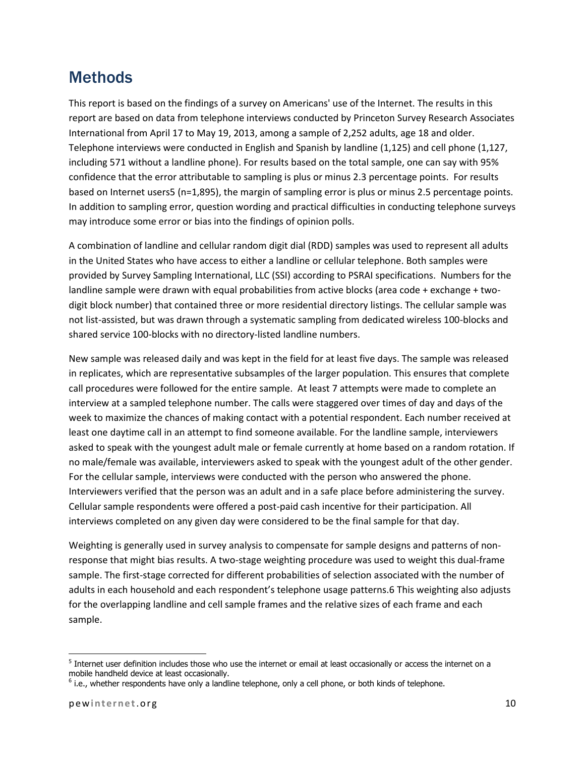# Methods

This report is based on the findings of a survey on Americans' use of the Internet. The results in this report are based on data from telephone interviews conducted by Princeton Survey Research Associates International from April 17 to May 19, 2013, among a sample of 2,252 adults, age 18 and older. Telephone interviews were conducted in English and Spanish by landline (1,125) and cell phone (1,127, including 571 without a landline phone). For results based on the total sample, one can say with 95% confidence that the error attributable to sampling is plus or minus 2.3 percentage points. For results based on Internet users5 (n=1,895), the margin of sampling error is plus or minus 2.5 percentage points. In addition to sampling error, question wording and practical difficulties in conducting telephone surveys may introduce some error or bias into the findings of opinion polls.

A combination of landline and cellular random digit dial (RDD) samples was used to represent all adults in the United States who have access to either a landline or cellular telephone. Both samples were provided by Survey Sampling International, LLC (SSI) according to PSRAI specifications. Numbers for the landline sample were drawn with equal probabilities from active blocks (area code + exchange + twodigit block number) that contained three or more residential directory listings. The cellular sample was not list-assisted, but was drawn through a systematic sampling from dedicated wireless 100-blocks and shared service 100-blocks with no directory-listed landline numbers.

New sample was released daily and was kept in the field for at least five days. The sample was released in replicates, which are representative subsamples of the larger population. This ensures that complete call procedures were followed for the entire sample. At least 7 attempts were made to complete an interview at a sampled telephone number. The calls were staggered over times of day and days of the week to maximize the chances of making contact with a potential respondent. Each number received at least one daytime call in an attempt to find someone available. For the landline sample, interviewers asked to speak with the youngest adult male or female currently at home based on a random rotation. If no male/female was available, interviewers asked to speak with the youngest adult of the other gender. For the cellular sample, interviews were conducted with the person who answered the phone. Interviewers verified that the person was an adult and in a safe place before administering the survey. Cellular sample respondents were offered a post-paid cash incentive for their participation. All interviews completed on any given day were considered to be the final sample for that day.

Weighting is generally used in survey analysis to compensate for sample designs and patterns of nonresponse that might bias results. A two-stage weighting procedure was used to weight this dual-frame sample. The first-stage corrected for different probabilities of selection associated with the number of adults in each household and each respondent's telephone usage patterns.6 This weighting also adjusts for the overlapping landline and cell sample frames and the relative sizes of each frame and each sample.

l

 $^5$  Internet user definition includes those who use the internet or email at least occasionally or access the internet on a mobile handheld device at least occasionally.

<sup>&</sup>lt;sup>6</sup> i.e., whether respondents have only a landline telephone, only a cell phone, or both kinds of telephone.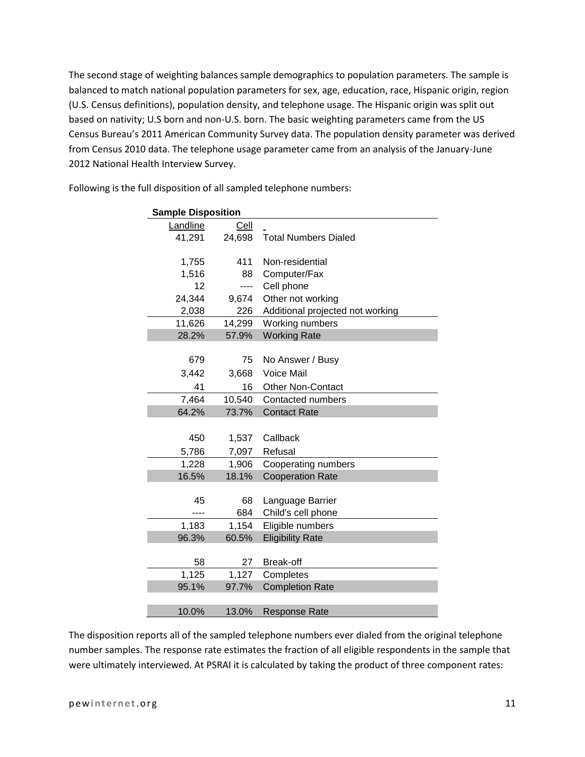The second stage of weighting balances sample demographics to population parameters. The sample is balanced to match national population parameters for sex, age, education, race, Hispanic origin, region (U.S. Census definitions), population density, and telephone usage. The Hispanic origin was split out based on nativity; U.S born and non-U.S. born. The basic weighting parameters came from the US Census Bureau's 2011 American Community Survey data. The population density parameter was derived from Census 2010 data. The telephone usage parameter came from an analysis of the January-June 2012 National Health Interview Survey.

| <b>Sample Disposition</b> |        |                                  |
|---------------------------|--------|----------------------------------|
| Landline                  | Cell   |                                  |
| 41,291                    | 24,698 | <b>Total Numbers Dialed</b>      |
|                           |        |                                  |
| 1,755                     | 411    | Non-residential                  |
| 1,516                     | 88     | Computer/Fax                     |
| 12                        | ----   | Cell phone                       |
| 24,344                    | 9,674  | Other not working                |
| 2,038                     | 226    | Additional projected not working |
| 11,626                    | 14,299 | Working numbers                  |
| 28.2%                     | 57.9%  | <b>Working Rate</b>              |
|                           |        |                                  |
| 679                       | 75     | No Answer / Busy                 |
| 3,442                     | 3,668  | <b>Voice Mail</b>                |
| 41                        | 16     | <b>Other Non-Contact</b>         |
| 7,464                     | 10,540 | Contacted numbers                |
| 64.2%                     | 73.7%  | <b>Contact Rate</b>              |
|                           |        |                                  |
| 450                       | 1,537  | Callback                         |
| 5,786                     | 7,097  | Refusal                          |
| 1,228                     | 1,906  | Cooperating numbers              |
| 16.5%                     | 18.1%  | <b>Cooperation Rate</b>          |
|                           |        |                                  |
| 45                        | 68     | Language Barrier                 |
|                           | 684    | Child's cell phone               |
| 1,183                     | 1,154  | Eligible numbers                 |
| 96.3%                     | 60.5%  | <b>Eligibility Rate</b>          |
|                           |        |                                  |
| 58                        | 27     | Break-off                        |
| 1,125                     | 1,127  | Completes                        |
| 95.1%                     | 97.7%  | <b>Completion Rate</b>           |
|                           |        |                                  |
| 10.0%                     | 13.0%  | <b>Response Rate</b>             |

Following is the full disposition of all sampled telephone numbers:

The disposition reports all of the sampled telephone numbers ever dialed from the original telephone number samples. The response rate estimates the fraction of all eligible respondents in the sample that were ultimately interviewed. At PSRAI it is calculated by taking the product of three component rates: